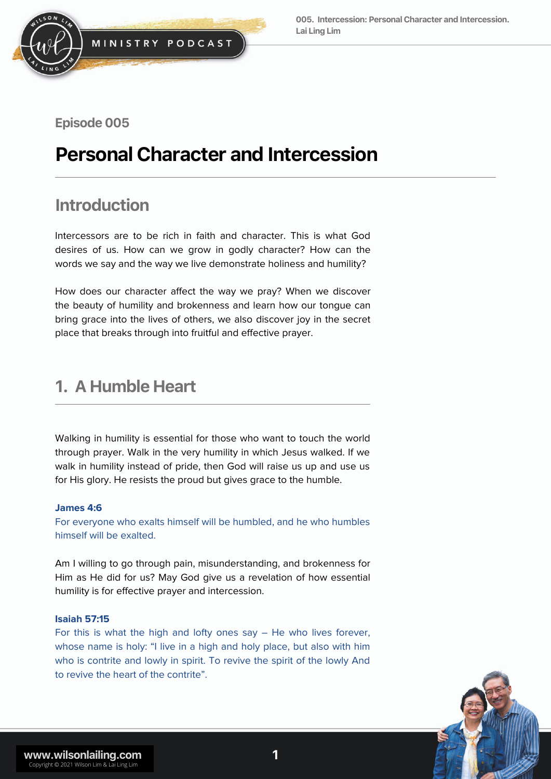

### Episode 005

# **Personal Character and Intercession**

## **Introduction**

Intercessors are to be rich in faith and character. This is what God desires of us. How can we grow in godly character? How can the words we say and the way we live demonstrate holiness and humility?

How does our character affect the way we pray? When we discover the beauty of humility and brokenness and learn how our tongue can bring grace into the lives of others, we also discover joy in the secret place that breaks through into fruitful and effective prayer.

### **1. A Humble Heart**

Walking in humility is essential for those who want to touch the world through prayer. Walk in the very humility in which Jesus walked. If we walk in humility instead of pride, then God will raise us up and use us for His glory. He resists the proud but gives grace to the humble.

### **James 4:6**

For everyone who exalts himself will be humbled, and he who humbles himself will be exalted.

Am I willing to go through pain, misunderstanding, and brokenness for Him as He did for us? May God give us a revelation of how essential humility is for effective prayer and intercession.

### **Isaiah 57:15**

For this is what the high and lofty ones say – He who lives forever, whose name is holy: "I live in a high and holy place, but also with him who is contrite and lowly in spirit. To revive the spirit of the lowly And to revive the heart of the contrite".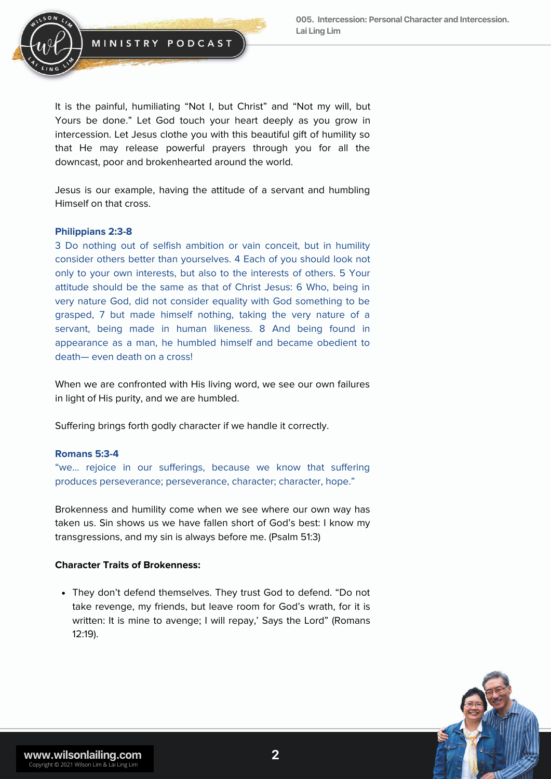

It is the painful, humiliating "Not I, but Christ" and "Not my will, but Yours be done." Let God touch your heart deeply as you grow in intercession. Let Jesus clothe you with this beautiful gift of humility so that He may release powerful prayers through you for all the downcast, poor and brokenhearted around the world.

Jesus is our example, having the attitude of a servant and humbling Himself on that cross.

### **Philippians 2:3-8**

3 Do nothing out of selfish ambition or vain conceit, but in humility consider others better than yourselves. 4 Each of you should look not only to your own interests, but also to the interests of others. 5 Your attitude should be the same as that of Christ Jesus: 6 Who, being in very nature God, did not consider equality with God something to be grasped, 7 but made himself nothing, taking the very nature of a servant, being made in human likeness. 8 And being found in appearance as a man, he humbled himself and became obedient to death— even death on a cross!

When we are confronted with His living word, we see our own failures in light of His purity, and we are humbled.

Suffering brings forth godly character if we handle it correctly.

### **Romans 5:3-4**

"we… rejoice in our sufferings, because we know that suffering produces perseverance; perseverance, character; character, hope."

Brokenness and humility come when we see where our own way has taken us. Sin shows us we have fallen short of God's best: I know my transgressions, and my sin is always before me. (Psalm 51:3)

### **Character Traits of Brokenness:**

They don't defend themselves. They trust God to defend. "Do not take revenge, my friends, but leave room for God's wrath, for it is written: It is mine to avenge; I will repay,' Says the Lord" (Romans 12:19).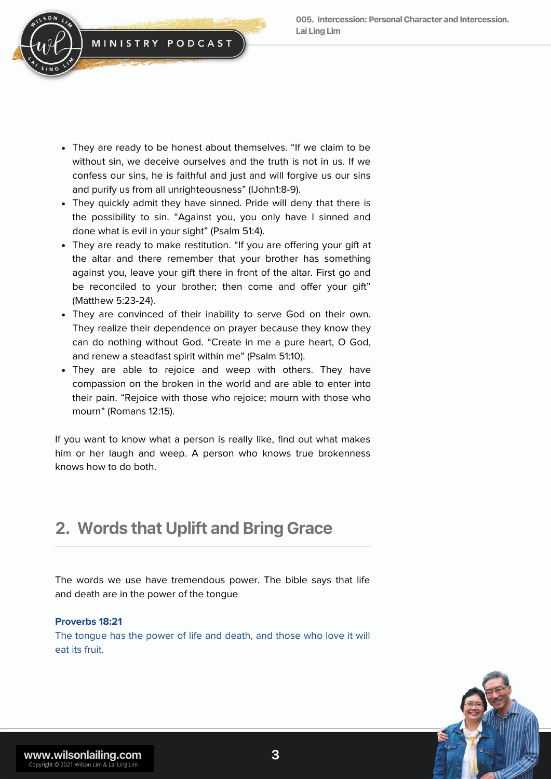

- They are ready to be honest about themselves. "If we claim to be without sin, we deceive ourselves and the truth is not in us. If we confess our sins, he is faithful and just and will forgive us our sins and purify us from all unrighteousness" (IJohn1:8-9).
- They quickly admit they have sinned. Pride will deny that there is the possibility to sin. "Against you, you only have I sinned and done what is evil in your sight" (Psalm 51:4).
- They are ready to make restitution. "If you are offering your gift at the altar and there remember that your brother has something against you, leave your gift there in front of the altar. First go and be reconciled to your brother; then come and offer your gift" (Matthew 5:23-24).
- They are convinced of their inability to serve God on their own. They realize their dependence on prayer because they know they can do nothing without God. "Create in me a pure heart, O God, and renew a steadfast spirit within me" (Psalm 51:10).
- They are able to rejoice and weep with others. They have compassion on the broken in the world and are able to enter into their pain. "Rejoice with those who rejoice; mourn with those who mourn" (Romans 12:15).

If you want to know what a person is really like, find out what makes him or her laugh and weep. A person who knows true brokenness knows how to do both.

## **2. Words that Uplift and Bring Grace**

The words we use have tremendous power. The bible says that life and death are in the power of the tongue

### **Proverbs 18:21**

The tongue has the power of life and death, and those who love it will eat its fruit.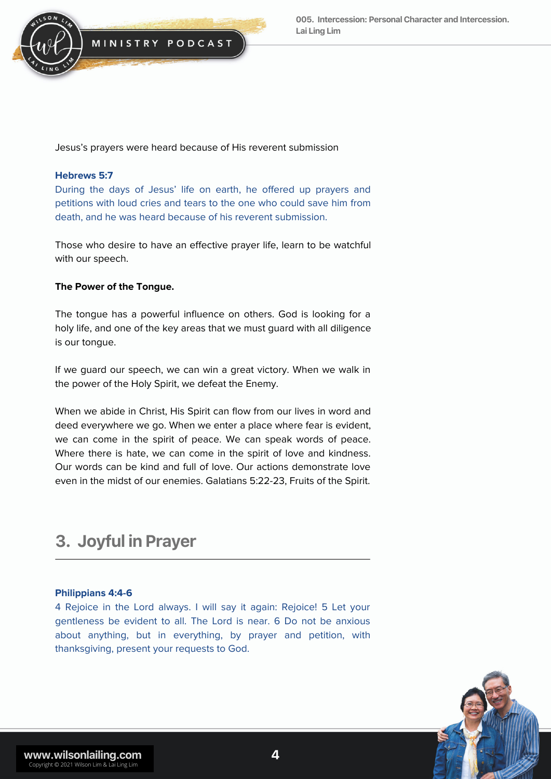

Jesus's prayers were heard because of His reverent submission

### **Hebrews 5:7**

During the days of Jesus' life on earth, he offered up prayers and petitions with loud cries and tears to the one who could save him from death, and he was heard because of his reverent submission.

Those who desire to have an effective prayer life, learn to be watchful with our speech.

### **The Power of the Tongue.**

The tongue has a powerful influence on others. God is looking for a holy life, and one of the key areas that we must guard with all diligence is our tongue.

If we guard our speech, we can win a great victory. When we walk in the power of the Holy Spirit, we defeat the Enemy.

When we abide in Christ, His Spirit can flow from our lives in word and deed everywhere we go. When we enter a place where fear is evident, we can come in the spirit of peace. We can speak words of peace. Where there is hate, we can come in the spirit of love and kindness. Our words can be kind and full of love. Our actions demonstrate love even in the midst of our enemies. Galatians 5:22-23, Fruits of the Spirit.

### **3. Joyful inPrayer**

### **Philippians 4:4-6**

4 Rejoice in the Lord always. I will say it again: Rejoice! 5 Let your gentleness be evident to all. The Lord is near. 6 Do not be anxious about anything, but in everything, by prayer and petition, with thanksgiving, present your requests to God.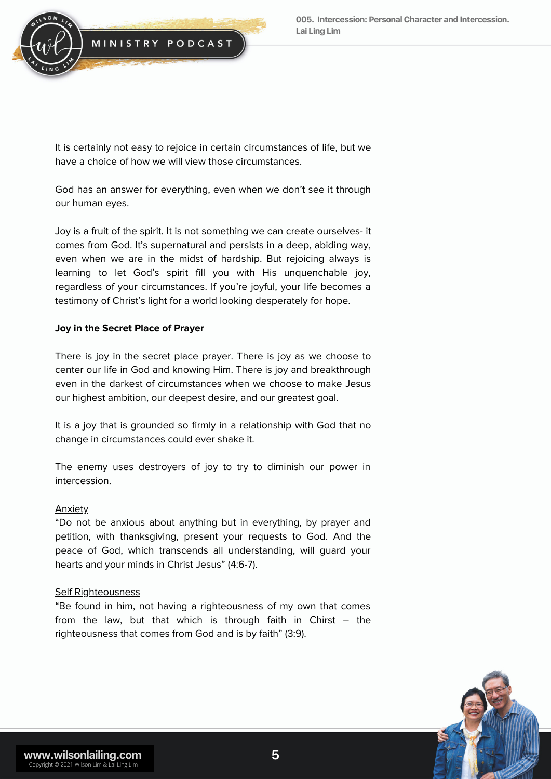

It is certainly not easy to rejoice in certain circumstances of life, but we have a choice of how we will view those circumstances.

God has an answer for everything, even when we don't see it through our human eyes.

Joy is a fruit of the spirit. It is not something we can create ourselves- it comes from God. It's supernatural and persists in a deep, abiding way, even when we are in the midst of hardship. But rejoicing always is learning to let God's spirit fill you with His unquenchable joy, regardless of your circumstances. If you're joyful, your life becomes a testimony of Christ's light for a world looking desperately for hope.

### **Joy in the Secret Place of Prayer**

There is joy in the secret place prayer. There is joy as we choose to center our life in God and knowing Him. There is joy and breakthrough even in the darkest of circumstances when we choose to make Jesus our highest ambition, our deepest desire, and our greatest goal.

It is a joy that is grounded so firmly in a relationship with God that no change in circumstances could ever shake it.

The enemy uses destroyers of joy to try to diminish our power in intercession.

### Anxiety

"Do not be anxious about anything but in everything, by prayer and petition, with thanksgiving, present your requests to God. And the peace of God, which transcends all understanding, will guard your hearts and your minds in Christ Jesus" (4:6-7).

### Self Righteousness

"Be found in him, not having a righteousness of my own that comes from the law, but that which is through faith in Chirst – the righteousness that comes from God and is by faith" (3:9).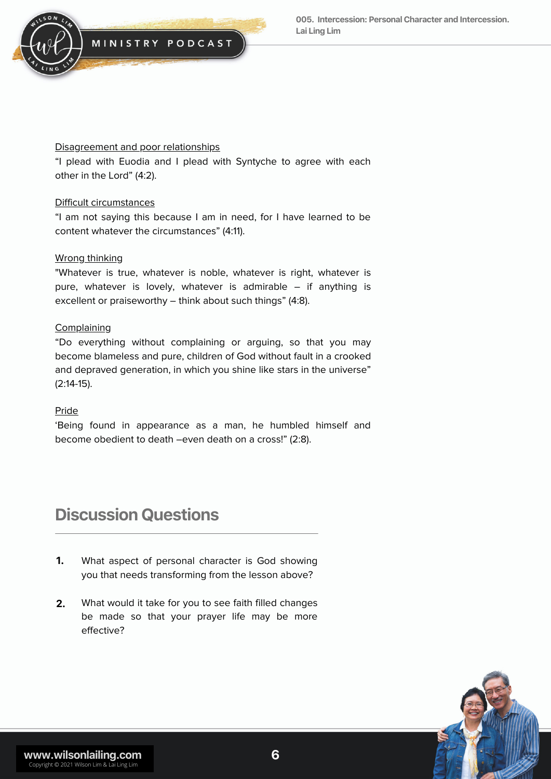

### Disagreement and poor relationships

"I plead with Euodia and I plead with Syntyche to agree with each other in the Lord" (4:2).

### Difficult circumstances

"I am not saying this because I am in need, for I have learned to be content whatever the circumstances" (4:11).

### Wrong thinking

"Whatever is true, whatever is noble, whatever is right, whatever is pure, whatever is lovely, whatever is admirable – if anything is excellent or praiseworthy – think about such things" (4:8).

### **Complaining**

"Do everything without complaining or arguing, so that you may become blameless and pure, children of God without fault in a crooked and depraved generation, in which you shine like stars in the universe" (2:14-15).

### Pride

'Being found in appearance as a man, he humbled himself and become obedient to death –even death on a cross!" (2:8).

## **Discussion Questions**

- What aspect of personal character is God showing you that needs transforming from the lesson above? **1.**
- What would it take for you to see faith filled changes be made so that your prayer life may be more effective? **2.**